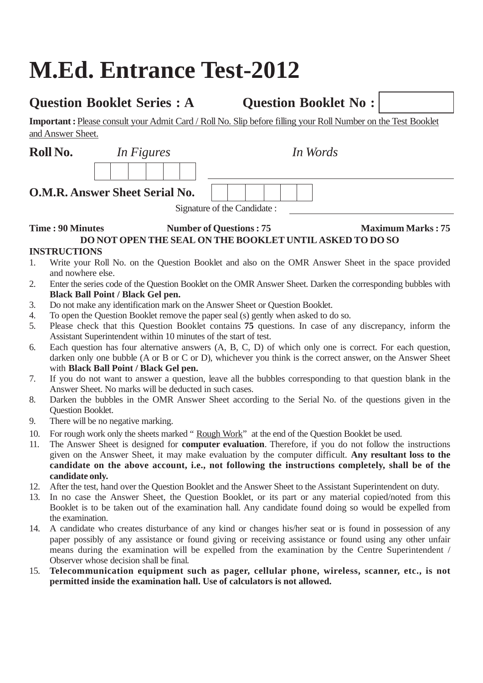# **M.Ed. Entrance Test-2012**

# **Question Booklet Series : A Question Booklet No :**

**Important :** Please consult your Admit Card / Roll No. Slip before filling your Roll Number on the Test Booklet and Answer Sheet.

| Roll No.       |                                                                                                                         | In Figures                            | In Words                                                        |                                                                                                              |  |
|----------------|-------------------------------------------------------------------------------------------------------------------------|---------------------------------------|-----------------------------------------------------------------|--------------------------------------------------------------------------------------------------------------|--|
|                |                                                                                                                         |                                       |                                                                 |                                                                                                              |  |
|                |                                                                                                                         | <b>O.M.R. Answer Sheet Serial No.</b> |                                                                 |                                                                                                              |  |
|                |                                                                                                                         |                                       | Signature of the Candidate:                                     |                                                                                                              |  |
|                | <b>Maximum Marks: 75</b><br><b>Time: 90 Minutes</b><br><b>Number of Questions: 75</b>                                   |                                       |                                                                 |                                                                                                              |  |
|                |                                                                                                                         |                                       | <b>DO NOT OPEN THE SEAL ON THE BOOKLET UNTIL ASKED TO DO SO</b> |                                                                                                              |  |
|                | <b>INSTRUCTIONS</b>                                                                                                     |                                       |                                                                 |                                                                                                              |  |
| $\mathbf{1}$ . | Write your Roll No. on the Question Booklet and also on the OMR Answer Sheet in the space provided<br>and nowhere else. |                                       |                                                                 |                                                                                                              |  |
| 2.             | <b>Black Ball Point / Black Gel pen.</b>                                                                                |                                       |                                                                 | Enter the series code of the Question Booklet on the OMR Answer Sheet. Darken the corresponding bubbles with |  |

- 3. Do not make any identification mark on the Answer Sheet or Question Booklet.
- 4. To open the Question Booklet remove the paper seal (s) gently when asked to do so.
- 5. Please check that this Question Booklet contains **75** questions. In case of any discrepancy, inform the Assistant Superintendent within 10 minutes of the start of test.
- 6. Each question has four alternative answers (A, B, C, D) of which only one is correct. For each question, darken only one bubble (A or B or C or D), whichever you think is the correct answer, on the Answer Sheet with **Black Ball Point / Black Gel pen.**
- 7. If you do not want to answer a question, leave all the bubbles corresponding to that question blank in the Answer Sheet. No marks will be deducted in such cases.
- 8. Darken the bubbles in the OMR Answer Sheet according to the Serial No. of the questions given in the Question Booklet.
- 9. There will be no negative marking.
- 10. For rough work only the sheets marked "Rough Work" at the end of the Question Booklet be used.
- 11. The Answer Sheet is designed for **computer evaluation**. Therefore, if you do not follow the instructions given on the Answer Sheet, it may make evaluation by the computer difficult. **Any resultant loss to the candidate on the above account, i.e., not following the instructions completely, shall be of the candidate only.**
- 12. After the test, hand over the Question Booklet and the Answer Sheet to the Assistant Superintendent on duty.
- 13. In no case the Answer Sheet, the Question Booklet, or its part or any material copied/noted from this Booklet is to be taken out of the examination hall. Any candidate found doing so would be expelled from the examination.
- 14. A candidate who creates disturbance of any kind or changes his/her seat or is found in possession of any paper possibly of any assistance or found giving or receiving assistance or found using any other unfair means during the examination will be expelled from the examination by the Centre Superintendent / Observer whose decision shall be final.
- 15. **Telecommunication equipment such as pager, cellular phone, wireless, scanner, etc., is not permitted inside the examination hall. Use of calculators is not allowed.**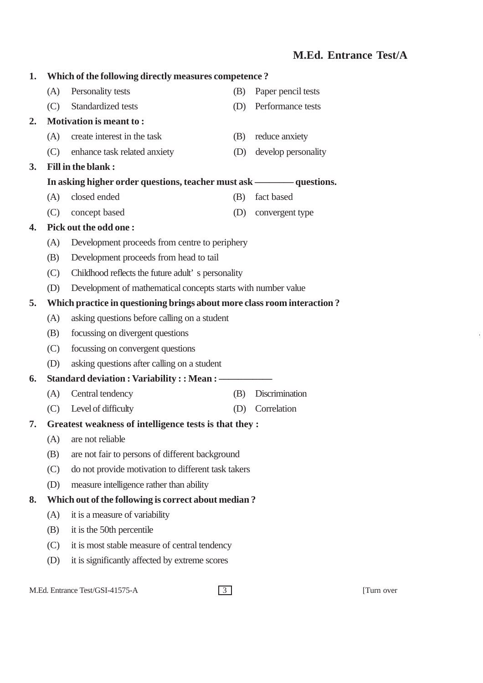## **M.Ed. Entrance Test/A**

| 1. |                                                                         | Which of the following directly measures competence?          |     |                     |  |  |  |  |
|----|-------------------------------------------------------------------------|---------------------------------------------------------------|-----|---------------------|--|--|--|--|
|    | (A)                                                                     | Personality tests                                             | (B) | Paper pencil tests  |  |  |  |  |
|    | (C)                                                                     | Standardized tests                                            | (D) | Performance tests   |  |  |  |  |
| 2. |                                                                         | <b>Motivation is meant to:</b>                                |     |                     |  |  |  |  |
|    | (A)                                                                     | create interest in the task                                   | (B) | reduce anxiety      |  |  |  |  |
|    | (C)                                                                     | enhance task related anxiety                                  | (D) | develop personality |  |  |  |  |
| 3. |                                                                         | <b>Fill in the blank:</b>                                     |     |                     |  |  |  |  |
|    | In asking higher order questions, teacher must ask ————— questions.     |                                                               |     |                     |  |  |  |  |
|    | (A)                                                                     | closed ended                                                  | (B) | fact based          |  |  |  |  |
|    | (C)                                                                     | concept based                                                 | (D) | convergent type     |  |  |  |  |
| 4. |                                                                         | Pick out the odd one:                                         |     |                     |  |  |  |  |
|    | (A)                                                                     | Development proceeds from centre to periphery                 |     |                     |  |  |  |  |
|    | (B)                                                                     | Development proceeds from head to tail                        |     |                     |  |  |  |  |
|    | (C)                                                                     | Childhood reflects the future adult's personality             |     |                     |  |  |  |  |
|    | (D)                                                                     | Development of mathematical concepts starts with number value |     |                     |  |  |  |  |
| 5. | Which practice in questioning brings about more class room interaction? |                                                               |     |                     |  |  |  |  |
|    | (A)                                                                     | asking questions before calling on a student                  |     |                     |  |  |  |  |
|    | (B)                                                                     | focussing on divergent questions                              |     |                     |  |  |  |  |
|    | (C)                                                                     | focussing on convergent questions                             |     |                     |  |  |  |  |
|    | (D)                                                                     | asking questions after calling on a student                   |     |                     |  |  |  |  |
| 6. |                                                                         |                                                               |     |                     |  |  |  |  |
|    | (A)                                                                     | Central tendency                                              | (B) | Discrimination      |  |  |  |  |
|    | (C)                                                                     | Level of difficulty                                           | (D) | Correlation         |  |  |  |  |
| 7. |                                                                         | Greatest weakness of intelligence tests is that they:         |     |                     |  |  |  |  |
|    | (A)                                                                     | are not reliable                                              |     |                     |  |  |  |  |
|    | (B)                                                                     | are not fair to persons of different background               |     |                     |  |  |  |  |
|    | (C)                                                                     | do not provide motivation to different task takers            |     |                     |  |  |  |  |
|    | (D)                                                                     | measure intelligence rather than ability                      |     |                     |  |  |  |  |
| 8. |                                                                         | Which out of the following is correct about median?           |     |                     |  |  |  |  |
|    | (A)<br>it is a measure of variability                                   |                                                               |     |                     |  |  |  |  |
|    | (B)                                                                     | it is the 50th percentile                                     |     |                     |  |  |  |  |
|    | (C)                                                                     | it is most stable measure of central tendency                 |     |                     |  |  |  |  |
|    | (D)                                                                     | it is significantly affected by extreme scores                |     |                     |  |  |  |  |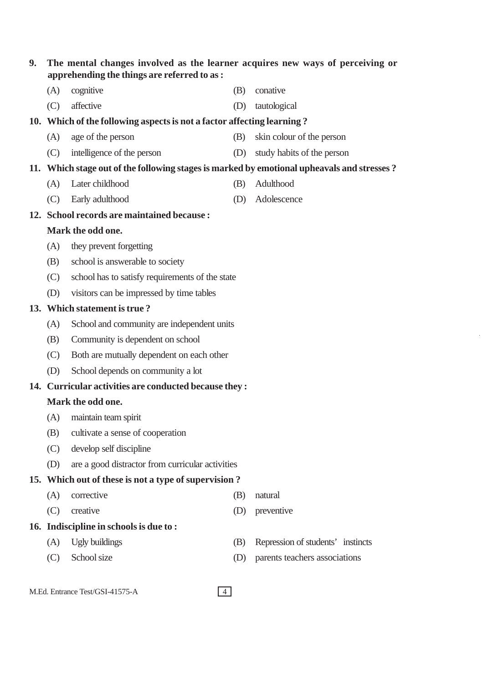| 9. | The mental changes involved as the learner acquires new ways of perceiving or<br>apprehending the things are referred to as: |                                                                                            |     |                                   |  |  |  |
|----|------------------------------------------------------------------------------------------------------------------------------|--------------------------------------------------------------------------------------------|-----|-----------------------------------|--|--|--|
|    | (A)                                                                                                                          | cognitive                                                                                  | (B) | conative                          |  |  |  |
|    | (C)                                                                                                                          | affective                                                                                  | (D) | tautological                      |  |  |  |
|    |                                                                                                                              | 10. Which of the following aspects is not a factor affecting learning?                     |     |                                   |  |  |  |
|    | (A)                                                                                                                          | age of the person                                                                          | (B) | skin colour of the person         |  |  |  |
|    | (C)                                                                                                                          | intelligence of the person                                                                 | (D) | study habits of the person        |  |  |  |
|    |                                                                                                                              | 11. Which stage out of the following stages is marked by emotional upheavals and stresses? |     |                                   |  |  |  |
|    | (A)                                                                                                                          | Later childhood                                                                            | (B) | Adulthood                         |  |  |  |
|    | (C)                                                                                                                          | Early adulthood                                                                            | (D) | Adolescence                       |  |  |  |
|    |                                                                                                                              | 12. School records are maintained because :                                                |     |                                   |  |  |  |
|    |                                                                                                                              | Mark the odd one.                                                                          |     |                                   |  |  |  |
|    | (A)                                                                                                                          | they prevent forgetting                                                                    |     |                                   |  |  |  |
|    | (B)                                                                                                                          | school is answerable to society                                                            |     |                                   |  |  |  |
|    | (C)                                                                                                                          | school has to satisfy requirements of the state                                            |     |                                   |  |  |  |
|    | (D)                                                                                                                          | visitors can be impressed by time tables                                                   |     |                                   |  |  |  |
|    |                                                                                                                              | 13. Which statement is true?                                                               |     |                                   |  |  |  |
|    | (A)                                                                                                                          | School and community are independent units                                                 |     |                                   |  |  |  |
|    | Community is dependent on school<br>(B)                                                                                      |                                                                                            |     |                                   |  |  |  |
|    | (C)                                                                                                                          | Both are mutually dependent on each other                                                  |     |                                   |  |  |  |
|    | (D)                                                                                                                          | School depends on community a lot                                                          |     |                                   |  |  |  |
|    |                                                                                                                              | 14. Curricular activities are conducted because they:                                      |     |                                   |  |  |  |
|    |                                                                                                                              | Mark the odd one.                                                                          |     |                                   |  |  |  |
|    | (A)                                                                                                                          | maintain team spirit                                                                       |     |                                   |  |  |  |
|    | (B)                                                                                                                          | cultivate a sense of cooperation                                                           |     |                                   |  |  |  |
|    | (C)                                                                                                                          | develop self discipline                                                                    |     |                                   |  |  |  |
|    | (D)                                                                                                                          | are a good distractor from curricular activities                                           |     |                                   |  |  |  |
|    |                                                                                                                              | 15. Which out of these is not a type of supervision?                                       |     |                                   |  |  |  |
|    | (A)                                                                                                                          | corrective                                                                                 | (B) | natural                           |  |  |  |
|    | (C)                                                                                                                          | creative                                                                                   | (D) | preventive                        |  |  |  |
|    |                                                                                                                              | 16. Indiscipline in schools is due to:                                                     |     |                                   |  |  |  |
|    | (A)                                                                                                                          | <b>Ugly buildings</b>                                                                      | (B) | Repression of students' instincts |  |  |  |
|    | (C)                                                                                                                          | School size                                                                                | (D) | parents teachers associations     |  |  |  |
|    |                                                                                                                              |                                                                                            |     |                                   |  |  |  |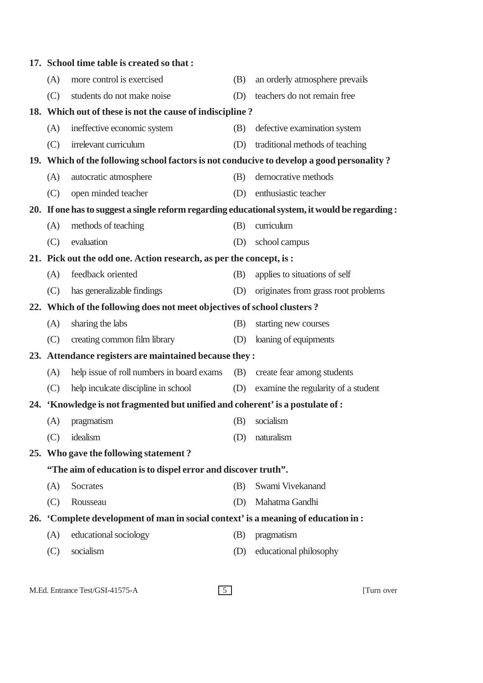|                                                               | 17. School time table is created so that:                                                      |     |                                     |  |
|---------------------------------------------------------------|------------------------------------------------------------------------------------------------|-----|-------------------------------------|--|
| (A)                                                           | more control is exercised                                                                      | (B) | an orderly atmosphere prevails      |  |
| (C)                                                           | students do not make noise                                                                     | (D) | teachers do not remain free         |  |
|                                                               | 18. Which out of these is not the cause of indiscipline?                                       |     |                                     |  |
| (A)                                                           | ineffective economic system                                                                    | (B) | defective examination system        |  |
| (C)                                                           | irrelevant curriculum                                                                          | (D) | traditional methods of teaching     |  |
|                                                               | 19. Which of the following school factors is not conducive to develop a good personality?      |     |                                     |  |
| (A)                                                           | autocratic atmosphere                                                                          | (B) | democrative methods                 |  |
| (C)                                                           | open minded teacher                                                                            | (D) | enthusiastic teacher                |  |
|                                                               | 20. If one has to suggest a single reform regarding educational system, it would be regarding: |     |                                     |  |
| (A)                                                           | methods of teaching                                                                            | (B) | curriculum                          |  |
| (C)                                                           | evaluation                                                                                     | (D) | school campus                       |  |
|                                                               | 21. Pick out the odd one. Action research, as per the concept, is:                             |     |                                     |  |
| (A)                                                           | feedback oriented                                                                              | (B) | applies to situations of self       |  |
| (C)                                                           | has generalizable findings                                                                     | (D) | originates from grass root problems |  |
|                                                               | 22. Which of the following does not meet objectives of school clusters?                        |     |                                     |  |
| (A)                                                           | sharing the labs                                                                               | (B) | starting new courses                |  |
| (C)                                                           | creating common film library                                                                   | (D) | loaning of equipments               |  |
|                                                               | 23. Attendance registers are maintained because they:                                          |     |                                     |  |
| (A)                                                           | help issue of roll numbers in board exams                                                      | (B) | create fear among students          |  |
| (C)                                                           | help inculcate discipline in school                                                            | (D) | examine the regularity of a student |  |
|                                                               | 24. 'Knowledge is not fragmented but unified and coherent' is a postulate of :                 |     |                                     |  |
|                                                               | (A) pragmatism                                                                                 |     | (B) socialism                       |  |
| (C)                                                           | idealism                                                                                       | (D) | naturalism                          |  |
|                                                               | 25. Who gave the following statement?                                                          |     |                                     |  |
| "The aim of education is to dispel error and discover truth". |                                                                                                |     |                                     |  |
| (A)                                                           | Socrates                                                                                       | (B) | Swami Vivekanand                    |  |
| (C)                                                           | Rousseau                                                                                       | (D) | Mahatma Gandhi                      |  |
|                                                               | 26. 'Complete development of man in social context' is a meaning of education in:              |     |                                     |  |
| (A)                                                           | educational sociology                                                                          | (B) | pragmatism                          |  |
| (C)                                                           | socialism                                                                                      | (D) | educational philosophy              |  |
|                                                               |                                                                                                |     |                                     |  |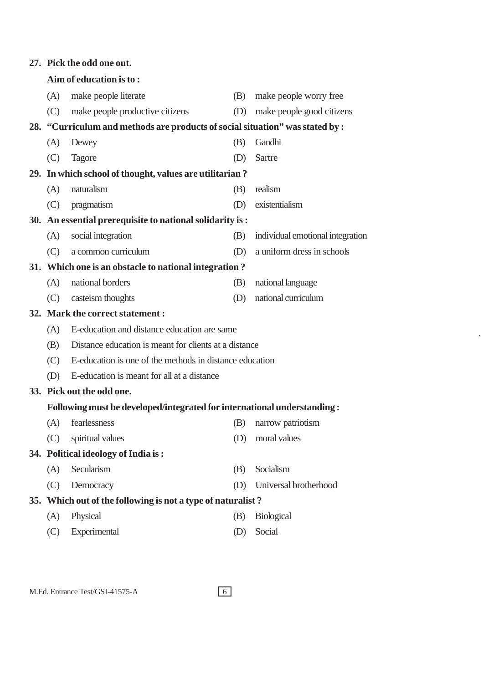| Aim of education is to: |                                            |                                                                                                                                                      |                                                                                                                                                                                                                                                                                                                                                                                                                                                                                                                                                                            |  |  |
|-------------------------|--------------------------------------------|------------------------------------------------------------------------------------------------------------------------------------------------------|----------------------------------------------------------------------------------------------------------------------------------------------------------------------------------------------------------------------------------------------------------------------------------------------------------------------------------------------------------------------------------------------------------------------------------------------------------------------------------------------------------------------------------------------------------------------------|--|--|
| (A)                     | make people literate                       | (B)                                                                                                                                                  | make people worry free                                                                                                                                                                                                                                                                                                                                                                                                                                                                                                                                                     |  |  |
| (C)                     | make people productive citizens            | (D)                                                                                                                                                  | make people good citizens                                                                                                                                                                                                                                                                                                                                                                                                                                                                                                                                                  |  |  |
|                         |                                            |                                                                                                                                                      |                                                                                                                                                                                                                                                                                                                                                                                                                                                                                                                                                                            |  |  |
| (A)                     | Dewey                                      | (B)                                                                                                                                                  | Gandhi                                                                                                                                                                                                                                                                                                                                                                                                                                                                                                                                                                     |  |  |
| (C)                     | <b>Tagore</b>                              | (D)                                                                                                                                                  | Sartre                                                                                                                                                                                                                                                                                                                                                                                                                                                                                                                                                                     |  |  |
|                         |                                            |                                                                                                                                                      |                                                                                                                                                                                                                                                                                                                                                                                                                                                                                                                                                                            |  |  |
| (A)                     | naturalism                                 | (B)                                                                                                                                                  | realism                                                                                                                                                                                                                                                                                                                                                                                                                                                                                                                                                                    |  |  |
| (C)                     | pragmatism                                 | (D)                                                                                                                                                  | existentialism                                                                                                                                                                                                                                                                                                                                                                                                                                                                                                                                                             |  |  |
|                         |                                            |                                                                                                                                                      |                                                                                                                                                                                                                                                                                                                                                                                                                                                                                                                                                                            |  |  |
| (A)                     | social integration                         | (B)                                                                                                                                                  | individual emotional integration                                                                                                                                                                                                                                                                                                                                                                                                                                                                                                                                           |  |  |
| (C)                     | a common curriculum                        | (D)                                                                                                                                                  | a uniform dress in schools                                                                                                                                                                                                                                                                                                                                                                                                                                                                                                                                                 |  |  |
|                         |                                            |                                                                                                                                                      |                                                                                                                                                                                                                                                                                                                                                                                                                                                                                                                                                                            |  |  |
| (A)                     | national borders                           | (B)                                                                                                                                                  | national language                                                                                                                                                                                                                                                                                                                                                                                                                                                                                                                                                          |  |  |
| (C)                     | casteism thoughts                          | (D)                                                                                                                                                  | national curriculum                                                                                                                                                                                                                                                                                                                                                                                                                                                                                                                                                        |  |  |
|                         |                                            |                                                                                                                                                      |                                                                                                                                                                                                                                                                                                                                                                                                                                                                                                                                                                            |  |  |
| (A)                     |                                            |                                                                                                                                                      |                                                                                                                                                                                                                                                                                                                                                                                                                                                                                                                                                                            |  |  |
| (B)                     |                                            |                                                                                                                                                      |                                                                                                                                                                                                                                                                                                                                                                                                                                                                                                                                                                            |  |  |
| (C)                     |                                            |                                                                                                                                                      |                                                                                                                                                                                                                                                                                                                                                                                                                                                                                                                                                                            |  |  |
| (D)                     | E-education is meant for all at a distance |                                                                                                                                                      |                                                                                                                                                                                                                                                                                                                                                                                                                                                                                                                                                                            |  |  |
|                         |                                            |                                                                                                                                                      |                                                                                                                                                                                                                                                                                                                                                                                                                                                                                                                                                                            |  |  |
|                         |                                            |                                                                                                                                                      |                                                                                                                                                                                                                                                                                                                                                                                                                                                                                                                                                                            |  |  |
|                         |                                            |                                                                                                                                                      | (B) narrow patriotism                                                                                                                                                                                                                                                                                                                                                                                                                                                                                                                                                      |  |  |
| (C)                     | spiritual values                           | (D)                                                                                                                                                  | moral values                                                                                                                                                                                                                                                                                                                                                                                                                                                                                                                                                               |  |  |
|                         |                                            |                                                                                                                                                      |                                                                                                                                                                                                                                                                                                                                                                                                                                                                                                                                                                            |  |  |
| (A)                     | Secularism                                 | (B)                                                                                                                                                  | Socialism                                                                                                                                                                                                                                                                                                                                                                                                                                                                                                                                                                  |  |  |
| (C)                     | Democracy                                  | (D)                                                                                                                                                  | Universal brotherhood                                                                                                                                                                                                                                                                                                                                                                                                                                                                                                                                                      |  |  |
|                         |                                            |                                                                                                                                                      |                                                                                                                                                                                                                                                                                                                                                                                                                                                                                                                                                                            |  |  |
| (A)                     | Physical                                   | (B)                                                                                                                                                  | <b>Biological</b>                                                                                                                                                                                                                                                                                                                                                                                                                                                                                                                                                          |  |  |
| (C)                     | Experimental                               | (D)                                                                                                                                                  | Social                                                                                                                                                                                                                                                                                                                                                                                                                                                                                                                                                                     |  |  |
|                         |                                            | 27. Pick the odd one out.<br>32. Mark the correct statement:<br>33. Pick out the odd one.<br>(A) fearlessness<br>34. Political ideology of India is: | 28. "Curriculum and methods are products of social situation" was stated by:<br>29. In which school of thought, values are utilitarian?<br>30. An essential prerequisite to national solidarity is:<br>31. Which one is an obstacle to national integration?<br>E-education and distance education are same<br>Distance education is meant for clients at a distance<br>E-education is one of the methods in distance education<br>Following must be developed/integrated for international understanding :<br>35. Which out of the following is not a type of naturalist? |  |  |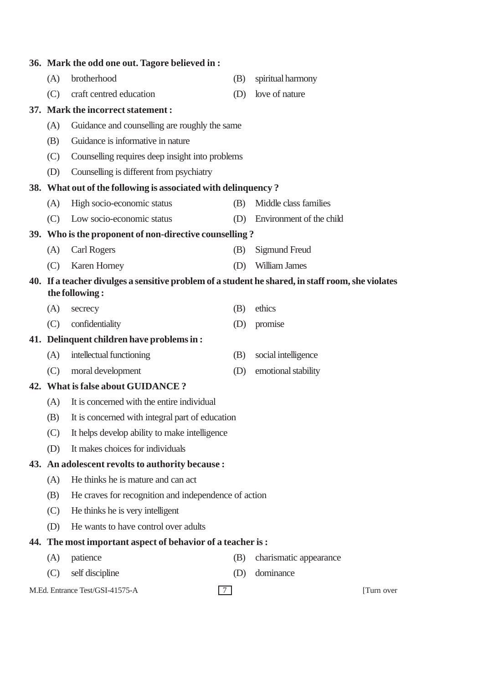|                                                        | 36. Mark the odd one out. Tagore believed in :                                                                       |     |                              |  |  |  |
|--------------------------------------------------------|----------------------------------------------------------------------------------------------------------------------|-----|------------------------------|--|--|--|
| (A)                                                    | brotherhood                                                                                                          | (B) | spiritual harmony            |  |  |  |
| (C)                                                    | craft centred education                                                                                              | (D) | love of nature               |  |  |  |
|                                                        | 37. Mark the incorrect statement:                                                                                    |     |                              |  |  |  |
| (A)                                                    | Guidance and counselling are roughly the same                                                                        |     |                              |  |  |  |
| Guidance is informative in nature<br>(B)               |                                                                                                                      |     |                              |  |  |  |
| Counselling requires deep insight into problems<br>(C) |                                                                                                                      |     |                              |  |  |  |
| (D)                                                    | Counselling is different from psychiatry                                                                             |     |                              |  |  |  |
|                                                        | 38. What out of the following is associated with delinquency?                                                        |     |                              |  |  |  |
| (A)                                                    | High socio-economic status                                                                                           | (B) | Middle class families        |  |  |  |
| (C)                                                    | Low socio-economic status                                                                                            |     | (D) Environment of the child |  |  |  |
|                                                        | 39. Who is the proponent of non-directive counselling?                                                               |     |                              |  |  |  |
| (A)                                                    | <b>Carl Rogers</b>                                                                                                   | (B) | Sigmund Freud                |  |  |  |
| (C)                                                    | Karen Horney                                                                                                         | (D) | William James                |  |  |  |
|                                                        | 40. If a teacher divulges a sensitive problem of a student he shared, in staff room, she violates<br>the following : |     |                              |  |  |  |
| (A)                                                    | secrecy                                                                                                              | (B) | ethics                       |  |  |  |
| (C)                                                    | confidentiality                                                                                                      | (D) | promise                      |  |  |  |
|                                                        | 41. Delinquent children have problems in:                                                                            |     |                              |  |  |  |
| (A)                                                    | intellectual functioning                                                                                             | (B) | social intelligence          |  |  |  |
| (C)                                                    | moral development                                                                                                    | (D) | emotional stability          |  |  |  |
|                                                        | 42. What is false about GUIDANCE?                                                                                    |     |                              |  |  |  |
| It is concerned with the entire individual<br>(A)      |                                                                                                                      |     |                              |  |  |  |
| (B)                                                    | It is concerned with integral part of education                                                                      |     |                              |  |  |  |
| (C)                                                    | It helps develop ability to make intelligence                                                                        |     |                              |  |  |  |
| (D)                                                    | It makes choices for individuals                                                                                     |     |                              |  |  |  |
|                                                        | 43. An adolescent revolts to authority because :                                                                     |     |                              |  |  |  |
| (A)                                                    | He thinks he is mature and can act                                                                                   |     |                              |  |  |  |
| (B)                                                    | He craves for recognition and independence of action                                                                 |     |                              |  |  |  |
| (C)                                                    | He thinks he is very intelligent                                                                                     |     |                              |  |  |  |
| (D)                                                    | He wants to have control over adults                                                                                 |     |                              |  |  |  |
|                                                        | 44. The most important aspect of behavior of a teacher is:                                                           |     |                              |  |  |  |
| (A)                                                    | patience                                                                                                             | (B) | charismatic appearance       |  |  |  |
| (C)                                                    | self discipline                                                                                                      | (D) | dominance                    |  |  |  |
|                                                        | M.Ed. Entrance Test/GSI-41575-A<br>$\tau$                                                                            |     | [Turn over                   |  |  |  |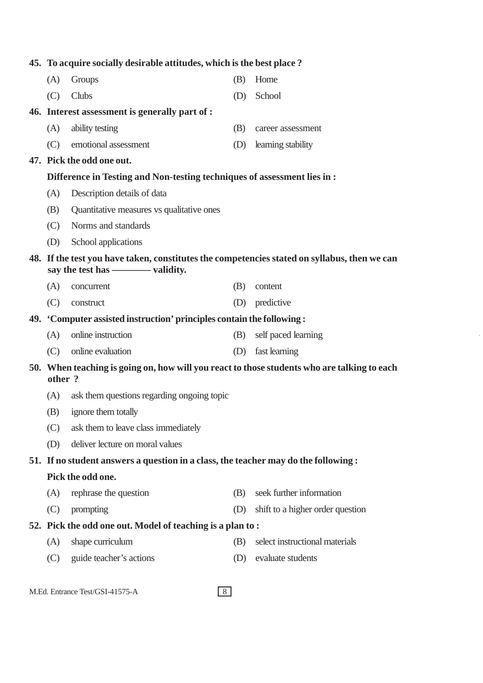| 45. To acquire socially desirable attitudes, which is the best place? |                                                                                              |     |                                  |  |
|-----------------------------------------------------------------------|----------------------------------------------------------------------------------------------|-----|----------------------------------|--|
| (A)                                                                   | Groups                                                                                       | (B) | Home                             |  |
| (C)                                                                   | Clubs                                                                                        | (D) | School                           |  |
|                                                                       | 46. Interest assessment is generally part of :                                               |     |                                  |  |
| (A)                                                                   | ability testing                                                                              | (B) | career assessment                |  |
| (C)                                                                   | emotional assessment                                                                         | (D) | learning stability               |  |
|                                                                       | 47. Pick the odd one out.                                                                    |     |                                  |  |
|                                                                       | Difference in Testing and Non-testing techniques of assessment lies in:                      |     |                                  |  |
| (A)                                                                   | Description details of data                                                                  |     |                                  |  |
| (B)                                                                   | Quantitative measures vs qualitative ones                                                    |     |                                  |  |
| (C)                                                                   | Norms and standards                                                                          |     |                                  |  |
| (D)                                                                   | School applications                                                                          |     |                                  |  |
|                                                                       | 48. If the test you have taken, constitutes the competencies stated on syllabus, then we can |     |                                  |  |
|                                                                       | say the test has - validity.                                                                 |     |                                  |  |
| (A)                                                                   | concurrent                                                                                   | (B) | content                          |  |
| (C)                                                                   | construct                                                                                    | (D) | predictive                       |  |
|                                                                       | 49. 'Computer assisted instruction' principles contain the following:                        |     |                                  |  |
| (A)                                                                   | online instruction                                                                           | (B) | self paced learning              |  |
| (C)                                                                   | online evaluation                                                                            | (D) | fast learning                    |  |
| other?                                                                | 50. When teaching is going on, how will you react to those students who are talking to each  |     |                                  |  |
| (A)                                                                   | ask them questions regarding ongoing topic                                                   |     |                                  |  |
| (B)                                                                   | ignore them totally                                                                          |     |                                  |  |
| (C)                                                                   | ask them to leave class immediately                                                          |     |                                  |  |
| (D)                                                                   | deliver lecture on moral values                                                              |     |                                  |  |
|                                                                       | 51. If no student answers a question in a class, the teacher may do the following:           |     |                                  |  |
| Pick the odd one.                                                     |                                                                                              |     |                                  |  |
| (A)                                                                   | rephrase the question                                                                        | (B) | seek further information         |  |
| (C)                                                                   | prompting                                                                                    | (D) | shift to a higher order question |  |
|                                                                       | 52. Pick the odd one out. Model of teaching is a plan to:                                    |     |                                  |  |
| (A)                                                                   | shape curriculum                                                                             | (B) | select instructional materials   |  |
| (C)                                                                   | guide teacher's actions                                                                      | (D) | evaluate students                |  |
|                                                                       |                                                                                              |     |                                  |  |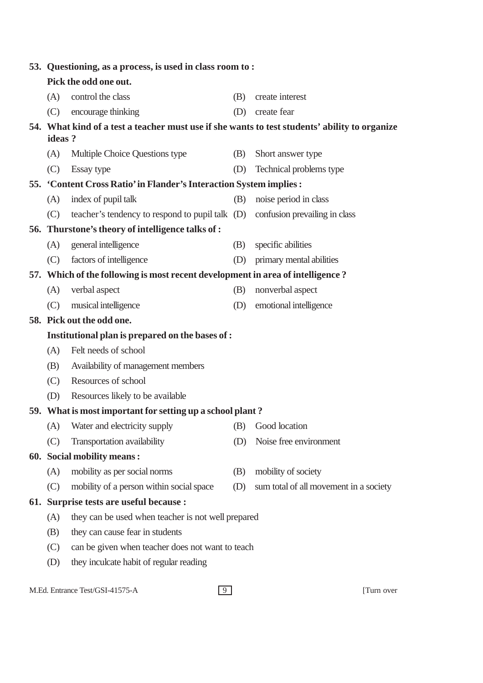|                                                | 53. Questioning, as a process, is used in class room to:                                      |     |                                        |  |  |  |
|------------------------------------------------|-----------------------------------------------------------------------------------------------|-----|----------------------------------------|--|--|--|
|                                                | Pick the odd one out.                                                                         |     |                                        |  |  |  |
| (A)                                            | control the class                                                                             | (B) | create interest                        |  |  |  |
| (C)                                            | encourage thinking                                                                            | (D) | create fear                            |  |  |  |
|                                                | 54. What kind of a test a teacher must use if she wants to test students' ability to organize |     |                                        |  |  |  |
| ideas?                                         |                                                                                               |     |                                        |  |  |  |
| (A)                                            | Multiple Choice Questions type                                                                | (B) | Short answer type                      |  |  |  |
| (C)                                            | Essay type                                                                                    | (D) | Technical problems type                |  |  |  |
|                                                | 55. 'Content Cross Ratio' in Flander's Interaction System implies :                           |     |                                        |  |  |  |
| (A)                                            | index of pupil talk                                                                           | (B) | noise period in class                  |  |  |  |
| (C)                                            | teacher's tendency to respond to pupil talk (D) confusion prevailing in class                 |     |                                        |  |  |  |
|                                                | 56. Thurstone's theory of intelligence talks of :                                             |     |                                        |  |  |  |
| (A)                                            | general intelligence                                                                          | (B) | specific abilities                     |  |  |  |
| (C)                                            | factors of intelligence                                                                       | (D) | primary mental abilities               |  |  |  |
|                                                | 57. Which of the following is most recent development in area of intelligence?                |     |                                        |  |  |  |
| (A)                                            | verbal aspect                                                                                 | (B) | nonverbal aspect                       |  |  |  |
| (C)                                            | musical intelligence                                                                          | (D) | emotional intelligence                 |  |  |  |
|                                                | 58. Pick out the odd one.                                                                     |     |                                        |  |  |  |
|                                                | Institutional plan is prepared on the bases of :                                              |     |                                        |  |  |  |
| (A)                                            | Felt needs of school                                                                          |     |                                        |  |  |  |
| (B)                                            | Availability of management members                                                            |     |                                        |  |  |  |
| (C)                                            | Resources of school                                                                           |     |                                        |  |  |  |
| (D)                                            | Resources likely to be available                                                              |     |                                        |  |  |  |
|                                                | 59. What is most important for setting up a school plant?                                     |     |                                        |  |  |  |
|                                                | (A) Water and electricity supply (B) Good location                                            |     |                                        |  |  |  |
| (C)                                            | Transportation availability                                                                   | (D) | Noise free environment                 |  |  |  |
|                                                | 60. Social mobility means:                                                                    |     |                                        |  |  |  |
| (A)                                            | mobility as per social norms                                                                  | (B) | mobility of society                    |  |  |  |
| (C)                                            | mobility of a person within social space                                                      | (D) | sum total of all movement in a society |  |  |  |
|                                                | 61. Surprise tests are useful because :                                                       |     |                                        |  |  |  |
| (A)                                            | they can be used when teacher is not well prepared                                            |     |                                        |  |  |  |
| (B)                                            | they can cause fear in students                                                               |     |                                        |  |  |  |
| (C)                                            | can be given when teacher does not want to teach                                              |     |                                        |  |  |  |
| they inculcate habit of regular reading<br>(D) |                                                                                               |     |                                        |  |  |  |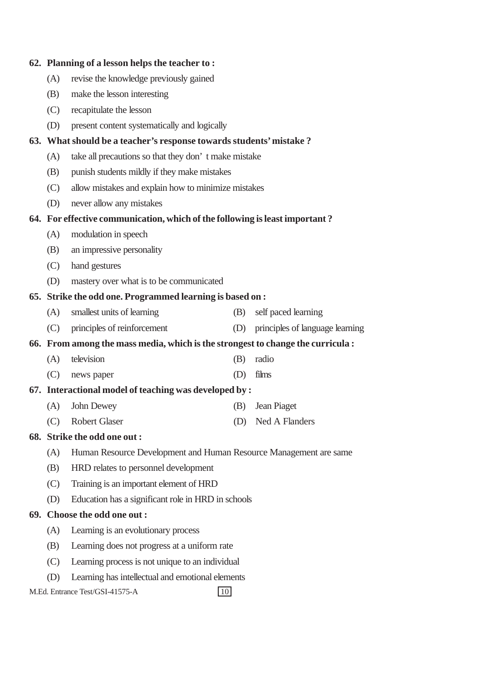|                                                                    | 62. Planning of a lesson helps the teacher to:                                  |     |                                     |  |  |  |
|--------------------------------------------------------------------|---------------------------------------------------------------------------------|-----|-------------------------------------|--|--|--|
| (A)                                                                | revise the knowledge previously gained                                          |     |                                     |  |  |  |
| (B)                                                                | make the lesson interesting                                                     |     |                                     |  |  |  |
| (C)                                                                | recapitulate the lesson                                                         |     |                                     |  |  |  |
| (D)                                                                | present content systematically and logically                                    |     |                                     |  |  |  |
| 63. What should be a teacher's response towards students' mistake? |                                                                                 |     |                                     |  |  |  |
| (A)                                                                | take all precautions so that they don't make mistake                            |     |                                     |  |  |  |
| (B)                                                                | punish students mildly if they make mistakes                                    |     |                                     |  |  |  |
| (C)                                                                | allow mistakes and explain how to minimize mistakes                             |     |                                     |  |  |  |
| (D)                                                                | never allow any mistakes                                                        |     |                                     |  |  |  |
|                                                                    | 64. For effective communication, which of the following is least important?     |     |                                     |  |  |  |
| (A)                                                                | modulation in speech                                                            |     |                                     |  |  |  |
| (B)                                                                | an impressive personality                                                       |     |                                     |  |  |  |
| (C)                                                                | hand gestures                                                                   |     |                                     |  |  |  |
| (D)                                                                | mastery over what is to be communicated                                         |     |                                     |  |  |  |
|                                                                    | 65. Strike the odd one. Programmed learning is based on :                       |     |                                     |  |  |  |
| (A)                                                                | smallest units of learning                                                      | (B) | self paced learning                 |  |  |  |
| (C)                                                                | principles of reinforcement                                                     |     | (D) principles of language learning |  |  |  |
|                                                                    | 66. From among the mass media, which is the strongest to change the curricula : |     |                                     |  |  |  |
| (A)                                                                | television                                                                      | (B) | radio                               |  |  |  |
| (C)                                                                | news paper                                                                      | (D) | films                               |  |  |  |
|                                                                    | 67. Interactional model of teaching was developed by:                           |     |                                     |  |  |  |
| (A)                                                                | John Dewey                                                                      | (B) | Jean Piaget                         |  |  |  |
| (C)                                                                | <b>Robert Glaser</b>                                                            |     | (D) Ned A Flanders                  |  |  |  |
|                                                                    | 68. Strike the odd one out:                                                     |     |                                     |  |  |  |
| (A)                                                                | Human Resource Development and Human Resource Management are same               |     |                                     |  |  |  |
| (B)                                                                | HRD relates to personnel development                                            |     |                                     |  |  |  |
| (C)                                                                | Training is an important element of HRD                                         |     |                                     |  |  |  |
| (D)                                                                | Education has a significant role in HRD in schools                              |     |                                     |  |  |  |
|                                                                    | 69. Choose the odd one out:                                                     |     |                                     |  |  |  |
| (A)                                                                | Learning is an evolutionary process                                             |     |                                     |  |  |  |
| (B)                                                                | Learning does not progress at a uniform rate                                    |     |                                     |  |  |  |
| (C)                                                                | Learning process is not unique to an individual                                 |     |                                     |  |  |  |
| Learning has intellectual and emotional elements<br>(D)            |                                                                                 |     |                                     |  |  |  |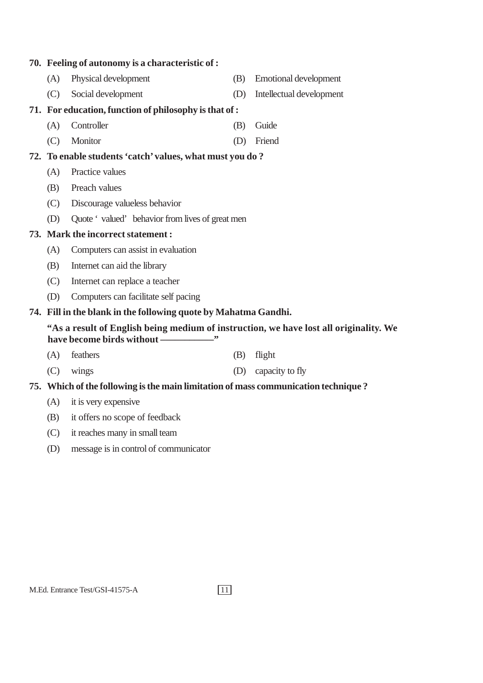#### **70. Feeling of autonomy is a characteristic of :**

- (A) Physical development (B) Emotional development
- (C) Social development (D) Intellectual development

#### **71. For education, function of philosophy is that of :**

- (A) Controller (B) Guide
- (C) Monitor (D) Friend

#### **72. To enable students 'catch' values, what must you do ?**

- (A) Practice values
- (B) Preach values
- (C) Discourage valueless behavior
- (D) Quote 'valued' behavior from lives of great men

#### **73. Mark the incorrect statement :**

- (A) Computers can assist in evaluation
- (B) Internet can aid the library
- (C) Internet can replace a teacher
- (D) Computers can facilitate self pacing

#### **74. Fill in the blank in the following quote by Mahatma Gandhi.**

#### **"As a result of English being medium of instruction, we have lost all originality. We** have become birds without ––––––––––––"

- (A) feathers (B) flight
- (C) wings (D) capacity to fly

#### **75. Which of the following is the main limitation of mass communication technique ?**

- (A) it is very expensive
- (B) it offers no scope of feedback
- (C) it reaches many in small team
- (D) message is in control of communicator

- 
-